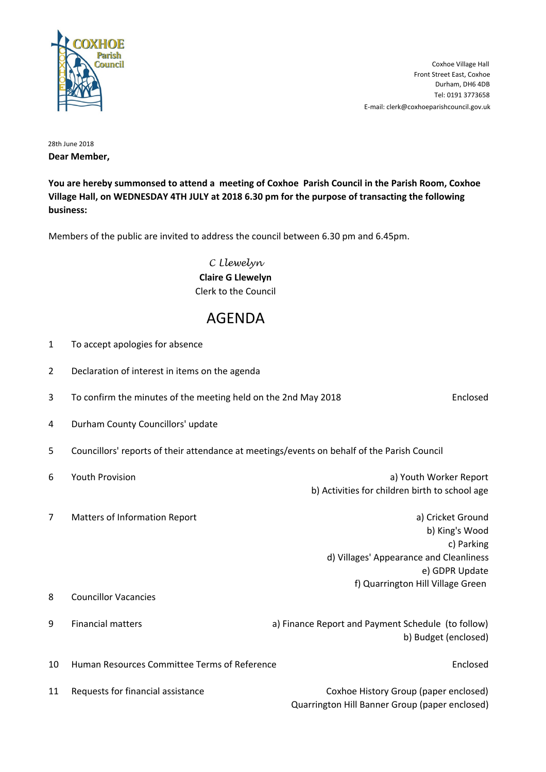

Tel: 0191 3773658 Durham, DH6 4DB Front Street East, Coxhoe Coxhoe Village Hall E-mail: clerk@coxhoeparishcouncil.gov.uk

28th June 2018 **Dear Member,**

**You are hereby summonsed to attend a meeting of Coxhoe Parish Council in the Parish Room, Coxhoe Village Hall, on WEDNESDAY 4TH JULY at 2018 6.30 pm for the purpose of transacting the following business:**

Members of the public are invited to address the council between 6.30 pm and 6.45pm.

C Llewelyn **Claire G Llewelyn** Clerk to the Council

## AGENDA

| $\mathbf{1}$   | To accept apologies for absence                                                             |                                                    |                                                                                                                                                     |
|----------------|---------------------------------------------------------------------------------------------|----------------------------------------------------|-----------------------------------------------------------------------------------------------------------------------------------------------------|
| $\overline{2}$ | Declaration of interest in items on the agenda                                              |                                                    |                                                                                                                                                     |
| 3              | To confirm the minutes of the meeting held on the 2nd May 2018                              |                                                    | Enclosed                                                                                                                                            |
| 4              | Durham County Councillors' update                                                           |                                                    |                                                                                                                                                     |
| 5              | Councillors' reports of their attendance at meetings/events on behalf of the Parish Council |                                                    |                                                                                                                                                     |
| 6              | <b>Youth Provision</b>                                                                      |                                                    | a) Youth Worker Report<br>b) Activities for children birth to school age                                                                            |
| 7              | Matters of Information Report                                                               |                                                    | a) Cricket Ground<br>b) King's Wood<br>c) Parking<br>d) Villages' Appearance and Cleanliness<br>e) GDPR Update<br>f) Quarrington Hill Village Green |
| 8              | <b>Councillor Vacancies</b>                                                                 |                                                    |                                                                                                                                                     |
| 9              | <b>Financial matters</b>                                                                    | a) Finance Report and Payment Schedule (to follow) | b) Budget (enclosed)                                                                                                                                |
| 10             | Human Resources Committee Terms of Reference                                                |                                                    | Enclosed                                                                                                                                            |
| 11             | Requests for financial assistance                                                           |                                                    | Coxhoe History Group (paper enclosed)<br>Quarrington Hill Banner Group (paper enclosed)                                                             |